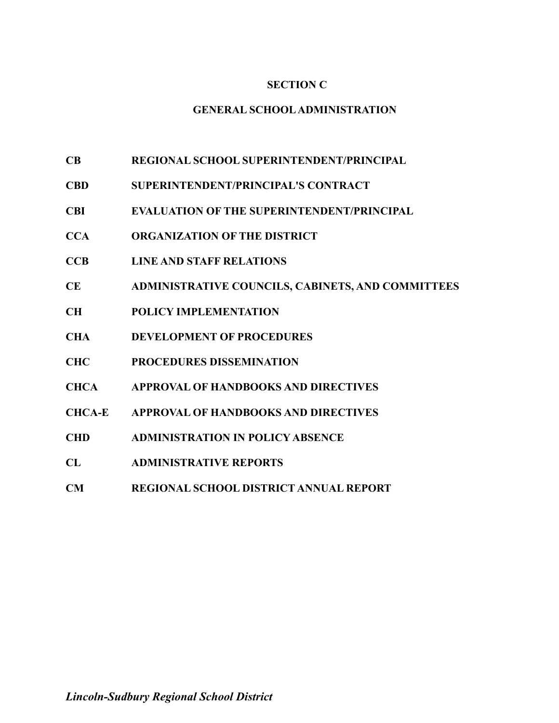# **SECTION C**

## **GENERAL SCHOOLADMINISTRATION**

- **CB REGIONAL SCHOOL SUPERINTENDENT/PRINCIPAL**
- **CBD SUPERINTENDENT/PRINCIPAL'S CONTRACT**
- **CBI EVALUATION OF THE SUPERINTENDENT/PRINCIPAL**
- **CCA ORGANIZATION OF THE DISTRICT**
- **CCB LINE AND STAFF RELATIONS**
- **CE ADMINISTRATIVE COUNCILS, CABINETS, AND COMMITTEES**
- **CH POLICY IMPLEMENTATION**
- **CHA DEVELOPMENT OF PROCEDURES**
- **CHC PROCEDURES DISSEMINATION**
- **CHCA APPROVAL OF HANDBOOKS AND DIRECTIVES**
- **CHCA-E APPROVAL OF HANDBOOKS AND DIRECTIVES**
- **CHD ADMINISTRATION IN POLICY ABSENCE**
- **CL ADMINISTRATIVE REPORTS**
- **CM REGIONAL SCHOOL DISTRICT ANNUAL REPORT**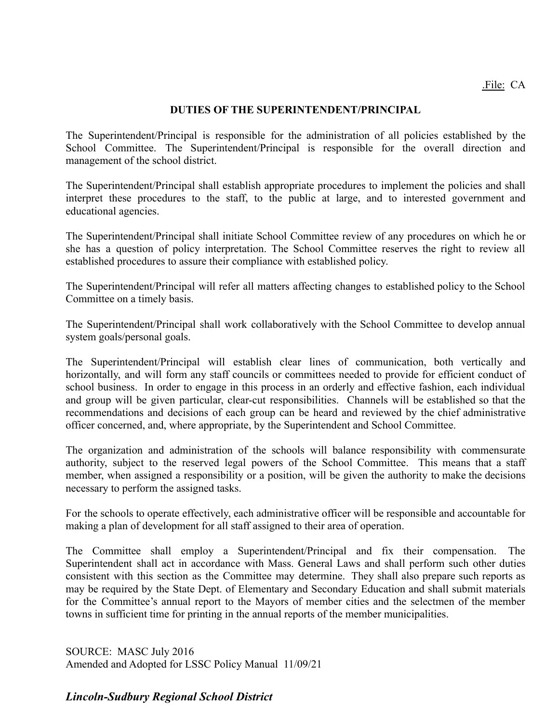## **DUTIES OF THE SUPERINTENDENT/PRINCIPAL**

The Superintendent/Principal is responsible for the administration of all policies established by the School Committee. The Superintendent/Principal is responsible for the overall direction and management of the school district.

The Superintendent/Principal shall establish appropriate procedures to implement the policies and shall interpret these procedures to the staff, to the public at large, and to interested government and educational agencies.

The Superintendent/Principal shall initiate School Committee review of any procedures on which he or she has a question of policy interpretation. The School Committee reserves the right to review all established procedures to assure their compliance with established policy.

The Superintendent/Principal will refer all matters affecting changes to established policy to the School Committee on a timely basis.

The Superintendent/Principal shall work collaboratively with the School Committee to develop annual system goals/personal goals.

The Superintendent/Principal will establish clear lines of communication, both vertically and horizontally, and will form any staff councils or committees needed to provide for efficient conduct of school business. In order to engage in this process in an orderly and effective fashion, each individual and group will be given particular, clear-cut responsibilities. Channels will be established so that the recommendations and decisions of each group can be heard and reviewed by the chief administrative officer concerned, and, where appropriate, by the Superintendent and School Committee.

The organization and administration of the schools will balance responsibility with commensurate authority, subject to the reserved legal powers of the School Committee. This means that a staff member, when assigned a responsibility or a position, will be given the authority to make the decisions necessary to perform the assigned tasks.

For the schools to operate effectively, each administrative officer will be responsible and accountable for making a plan of development for all staff assigned to their area of operation.

The Committee shall employ a Superintendent/Principal and fix their compensation. The Superintendent shall act in accordance with Mass. General Laws and shall perform such other duties consistent with this section as the Committee may determine. They shall also prepare such reports as may be required by the State Dept. of Elementary and Secondary Education and shall submit materials for the Committee's annual report to the Mayors of member cities and the selectmen of the member towns in sufficient time for printing in the annual reports of the member municipalities.

SOURCE: MASC July 2016 Amended and Adopted for LSSC Policy Manual 11/09/21

# *Lincoln-Sudbury Regional School District*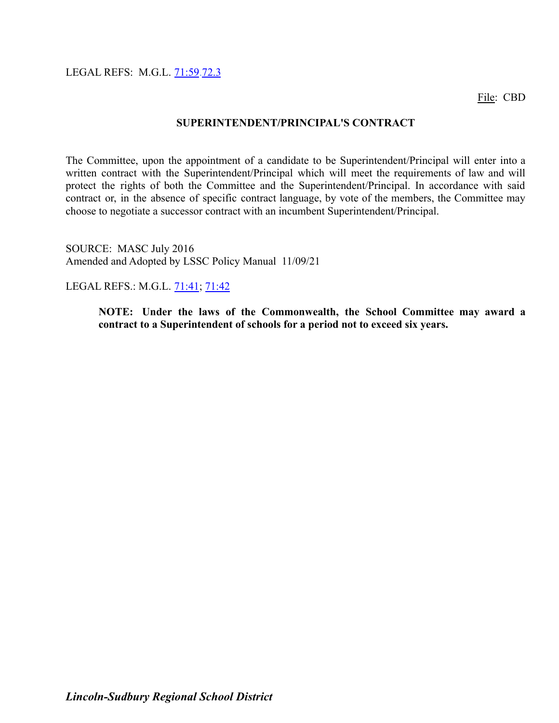LEGAL REFS: M.G.L. [71:59](http://www.malegislature.gov/Laws/GeneralLaws/PartI/TitleXII/Chapter71/Section59).72.3

File: CBD

#### **SUPERINTENDENT/PRINCIPAL'S CONTRACT**

The Committee, upon the appointment of a candidate to be Superintendent/Principal will enter into a written contract with the Superintendent/Principal which will meet the requirements of law and will protect the rights of both the Committee and the Superintendent/Principal. In accordance with said contract or, in the absence of specific contract language, by vote of the members, the Committee may choose to negotiate a successor contract with an incumbent Superintendent/Principal.

SOURCE: MASC July 2016 Amended and Adopted by LSSC Policy Manual 11/09/21

LEGAL REFS.: M.G.L. [71:41](http://www.malegislature.gov/Laws/GeneralLaws/PartI/TitleXII/Chapter71/Section41); [71:42](http://www.malegislature.gov/Laws/GeneralLaws/PartI/TitleXII/Chapter71/Section42)

**NOTE: Under the laws of the Commonwealth, the School Committee may award a contract to a Superintendent of schools for a period not to exceed six years.**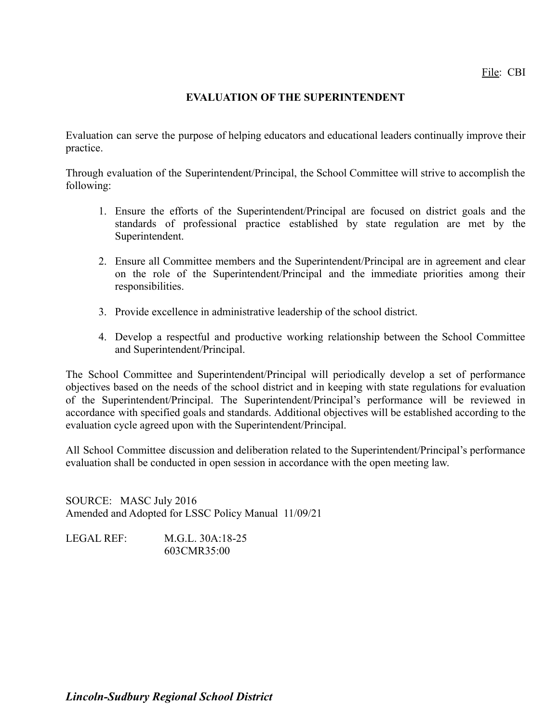# **EVALUATION OF THE SUPERINTENDENT**

Evaluation can serve the purpose of helping educators and educational leaders continually improve their practice.

Through evaluation of the Superintendent/Principal, the School Committee will strive to accomplish the following:

- 1. Ensure the efforts of the Superintendent/Principal are focused on district goals and the standards of professional practice established by state regulation are met by the Superintendent.
- 2. Ensure all Committee members and the Superintendent/Principal are in agreement and clear on the role of the Superintendent/Principal and the immediate priorities among their responsibilities.
- 3. Provide excellence in administrative leadership of the school district.
- 4. Develop a respectful and productive working relationship between the School Committee and Superintendent/Principal.

The School Committee and Superintendent/Principal will periodically develop a set of performance objectives based on the needs of the school district and in keeping with state regulations for evaluation of the Superintendent/Principal. The Superintendent/Principal's performance will be reviewed in accordance with specified goals and standards. Additional objectives will be established according to the evaluation cycle agreed upon with the Superintendent/Principal.

All School Committee discussion and deliberation related to the Superintendent/Principal's performance evaluation shall be conducted in open session in accordance with the open meeting law.

SOURCE: MASC July 2016 Amended and Adopted for LSSC Policy Manual 11/09/21

LEGAL REF: M.G.L. 30A:18-25 603CMR35:00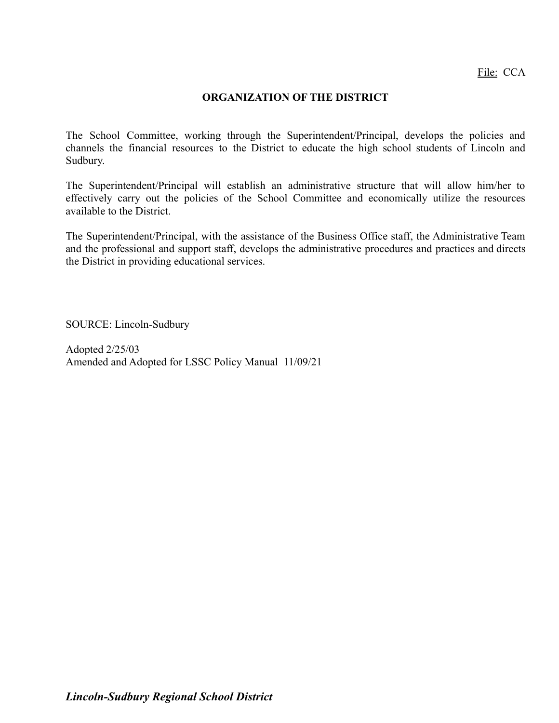## **ORGANIZATION OF THE DISTRICT**

The School Committee, working through the Superintendent/Principal, develops the policies and channels the financial resources to the District to educate the high school students of Lincoln and Sudbury.

The Superintendent/Principal will establish an administrative structure that will allow him/her to effectively carry out the policies of the School Committee and economically utilize the resources available to the District.

The Superintendent/Principal, with the assistance of the Business Office staff, the Administrative Team and the professional and support staff, develops the administrative procedures and practices and directs the District in providing educational services.

SOURCE: Lincoln-Sudbury

Adopted 2/25/03 Amended and Adopted for LSSC Policy Manual 11/09/21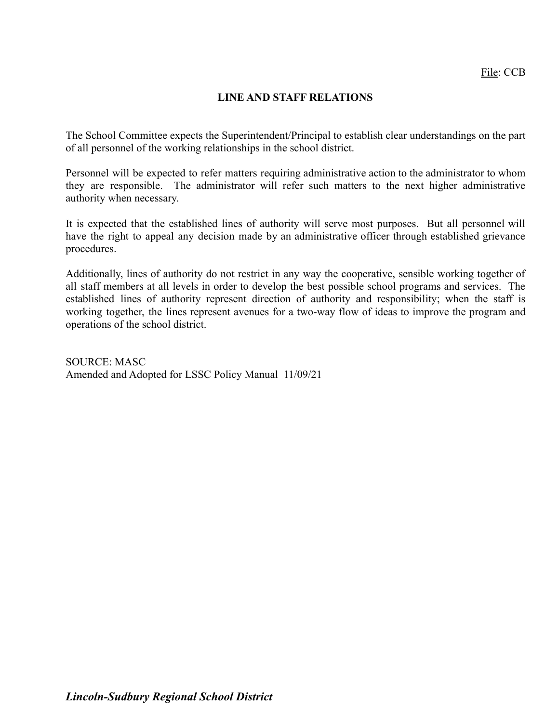# **LINE AND STAFF RELATIONS**

The School Committee expects the Superintendent/Principal to establish clear understandings on the part of all personnel of the working relationships in the school district.

Personnel will be expected to refer matters requiring administrative action to the administrator to whom they are responsible. The administrator will refer such matters to the next higher administrative authority when necessary.

It is expected that the established lines of authority will serve most purposes. But all personnel will have the right to appeal any decision made by an administrative officer through established grievance procedures.

Additionally, lines of authority do not restrict in any way the cooperative, sensible working together of all staff members at all levels in order to develop the best possible school programs and services. The established lines of authority represent direction of authority and responsibility; when the staff is working together, the lines represent avenues for a two-way flow of ideas to improve the program and operations of the school district.

SOURCE: MASC Amended and Adopted for LSSC Policy Manual 11/09/21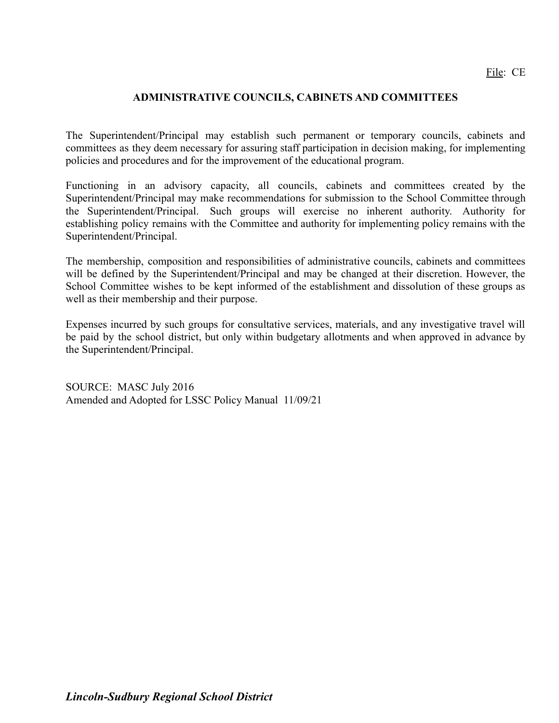## **ADMINISTRATIVE COUNCILS, CABINETS AND COMMITTEES**

The Superintendent/Principal may establish such permanent or temporary councils, cabinets and committees as they deem necessary for assuring staff participation in decision making, for implementing policies and procedures and for the improvement of the educational program.

Functioning in an advisory capacity, all councils, cabinets and committees created by the Superintendent/Principal may make recommendations for submission to the School Committee through the Superintendent/Principal. Such groups will exercise no inherent authority. Authority for establishing policy remains with the Committee and authority for implementing policy remains with the Superintendent/Principal.

The membership, composition and responsibilities of administrative councils, cabinets and committees will be defined by the Superintendent/Principal and may be changed at their discretion. However, the School Committee wishes to be kept informed of the establishment and dissolution of these groups as well as their membership and their purpose.

Expenses incurred by such groups for consultative services, materials, and any investigative travel will be paid by the school district, but only within budgetary allotments and when approved in advance by the Superintendent/Principal.

SOURCE: MASC July 2016 Amended and Adopted for LSSC Policy Manual 11/09/21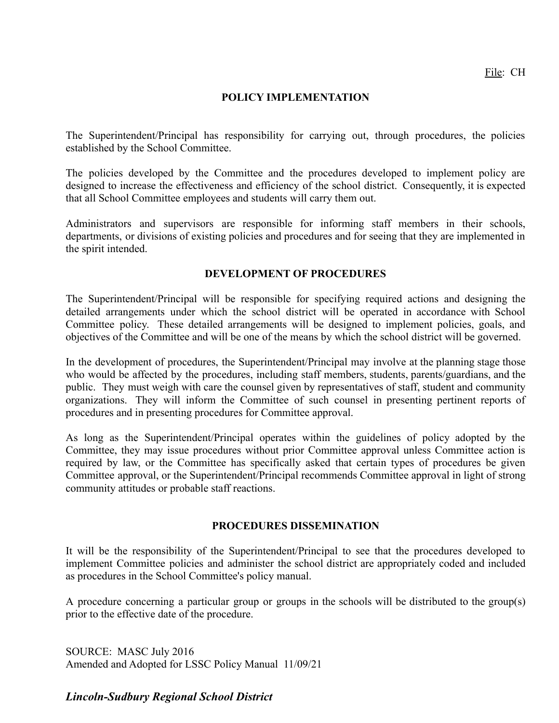#### **POLICY IMPLEMENTATION**

The Superintendent/Principal has responsibility for carrying out, through procedures, the policies established by the School Committee.

The policies developed by the Committee and the procedures developed to implement policy are designed to increase the effectiveness and efficiency of the school district. Consequently, it is expected that all School Committee employees and students will carry them out.

Administrators and supervisors are responsible for informing staff members in their schools, departments, or divisions of existing policies and procedures and for seeing that they are implemented in the spirit intended.

#### **DEVELOPMENT OF PROCEDURES**

The Superintendent/Principal will be responsible for specifying required actions and designing the detailed arrangements under which the school district will be operated in accordance with School Committee policy. These detailed arrangements will be designed to implement policies, goals, and objectives of the Committee and will be one of the means by which the school district will be governed.

In the development of procedures, the Superintendent/Principal may involve at the planning stage those who would be affected by the procedures, including staff members, students, parents/guardians, and the public. They must weigh with care the counsel given by representatives of staff, student and community organizations. They will inform the Committee of such counsel in presenting pertinent reports of procedures and in presenting procedures for Committee approval.

As long as the Superintendent/Principal operates within the guidelines of policy adopted by the Committee, they may issue procedures without prior Committee approval unless Committee action is required by law, or the Committee has specifically asked that certain types of procedures be given Committee approval, or the Superintendent/Principal recommends Committee approval in light of strong community attitudes or probable staff reactions.

#### **PROCEDURES DISSEMINATION**

It will be the responsibility of the Superintendent/Principal to see that the procedures developed to implement Committee policies and administer the school district are appropriately coded and included as procedures in the School Committee's policy manual.

A procedure concerning a particular group or groups in the schools will be distributed to the group(s) prior to the effective date of the procedure.

SOURCE: MASC July 2016 Amended and Adopted for LSSC Policy Manual 11/09/21

# *Lincoln-Sudbury Regional School District*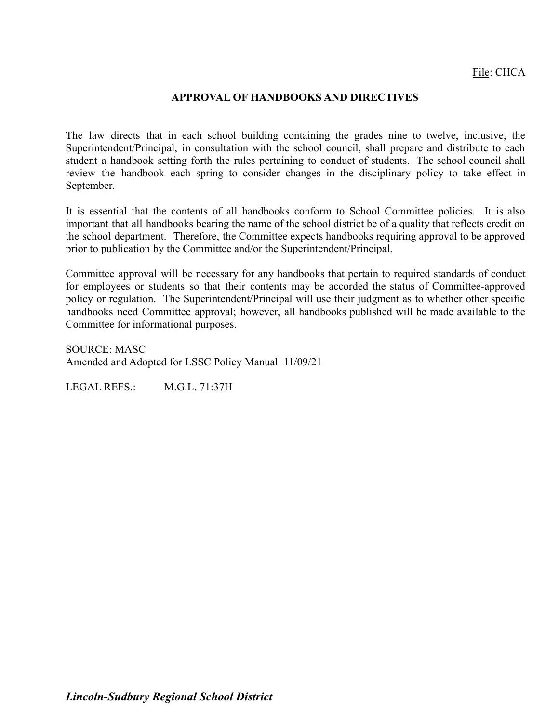#### **APPROVAL OF HANDBOOKS AND DIRECTIVES**

The law directs that in each school building containing the grades nine to twelve, inclusive, the Superintendent/Principal, in consultation with the school council, shall prepare and distribute to each student a handbook setting forth the rules pertaining to conduct of students. The school council shall review the handbook each spring to consider changes in the disciplinary policy to take effect in September.

It is essential that the contents of all handbooks conform to School Committee policies. It is also important that all handbooks bearing the name of the school district be of a quality that reflects credit on the school department. Therefore, the Committee expects handbooks requiring approval to be approved prior to publication by the Committee and/or the Superintendent/Principal.

Committee approval will be necessary for any handbooks that pertain to required standards of conduct for employees or students so that their contents may be accorded the status of Committee-approved policy or regulation. The Superintendent/Principal will use their judgment as to whether other specific handbooks need Committee approval; however, all handbooks published will be made available to the Committee for informational purposes.

SOURCE: MASC Amended and Adopted for LSSC Policy Manual 11/09/21

LEGAL REFS.: M.G.L. 71:37H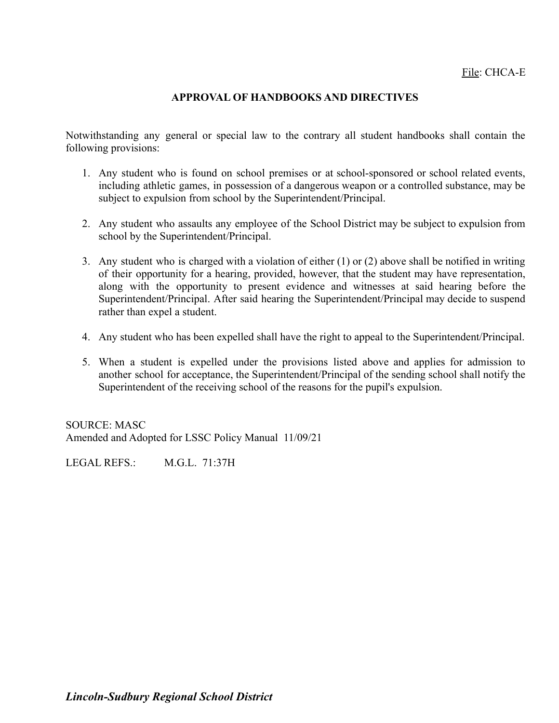## **APPROVAL OF HANDBOOKS AND DIRECTIVES**

Notwithstanding any general or special law to the contrary all student handbooks shall contain the following provisions:

- 1. Any student who is found on school premises or at school-sponsored or school related events, including athletic games, in possession of a dangerous weapon or a controlled substance, may be subject to expulsion from school by the Superintendent/Principal.
- 2. Any student who assaults any employee of the School District may be subject to expulsion from school by the Superintendent/Principal.
- 3. Any student who is charged with a violation of either (1) or (2) above shall be notified in writing of their opportunity for a hearing, provided, however, that the student may have representation, along with the opportunity to present evidence and witnesses at said hearing before the Superintendent/Principal. After said hearing the Superintendent/Principal may decide to suspend rather than expel a student.
- 4. Any student who has been expelled shall have the right to appeal to the Superintendent/Principal.
- 5. When a student is expelled under the provisions listed above and applies for admission to another school for acceptance, the Superintendent/Principal of the sending school shall notify the Superintendent of the receiving school of the reasons for the pupil's expulsion.

SOURCE: MASC Amended and Adopted for LSSC Policy Manual 11/09/21

LEGAL REFS.: M.G.L. 71:37H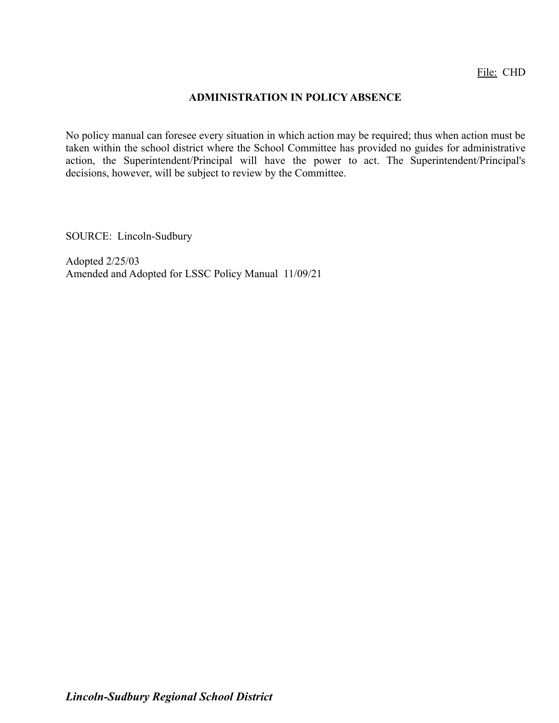## **ADMINISTRATION IN POLICY ABSENCE**

No policy manual can foresee every situation in which action may be required; thus when action must be taken within the school district where the School Committee has provided no guides for administrative action, the Superintendent/Principal will have the power to act. The Superintendent/Principal's decisions, however, will be subject to review by the Committee.

SOURCE: Lincoln-Sudbury

Adopted 2/25/03 Amended and Adopted for LSSC Policy Manual 11/09/21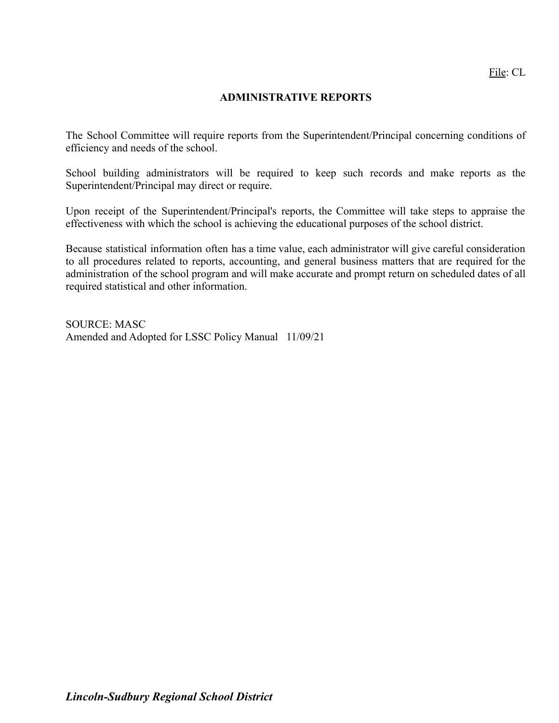## **ADMINISTRATIVE REPORTS**

The School Committee will require reports from the Superintendent/Principal concerning conditions of efficiency and needs of the school.

School building administrators will be required to keep such records and make reports as the Superintendent/Principal may direct or require.

Upon receipt of the Superintendent/Principal's reports, the Committee will take steps to appraise the effectiveness with which the school is achieving the educational purposes of the school district.

Because statistical information often has a time value, each administrator will give careful consideration to all procedures related to reports, accounting, and general business matters that are required for the administration of the school program and will make accurate and prompt return on scheduled dates of all required statistical and other information.

SOURCE: MASC Amended and Adopted for LSSC Policy Manual 11/09/21